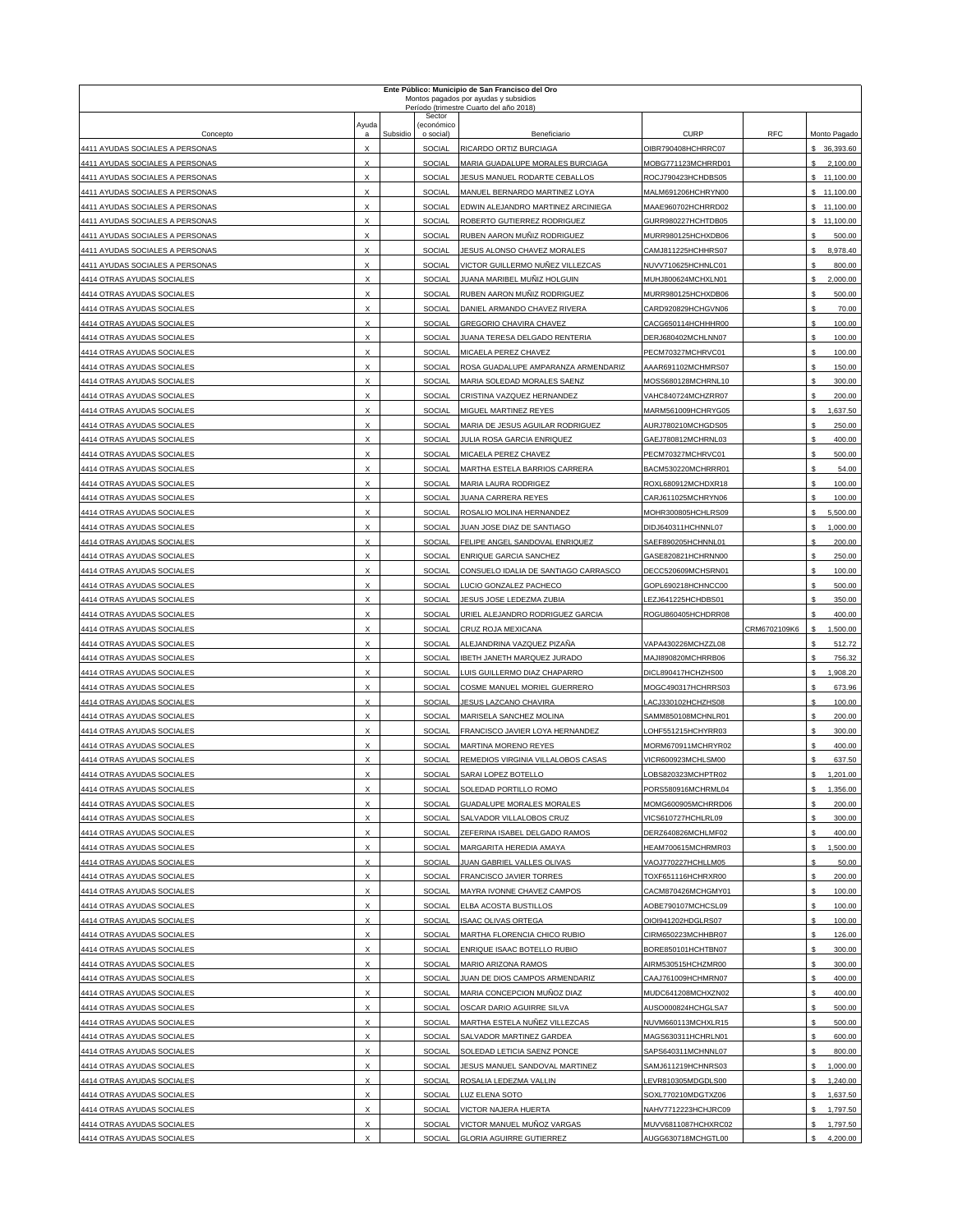|                                                                    |                                |          |                         | Ente Público: Municipio de San Francisco del Oro<br>Montos pagados por ayudas y subsidios |                                           |              |                                |
|--------------------------------------------------------------------|--------------------------------|----------|-------------------------|-------------------------------------------------------------------------------------------|-------------------------------------------|--------------|--------------------------------|
|                                                                    |                                |          | Sector                  | Período (trimestre Cuarto del año 2018)                                                   |                                           |              |                                |
| Concepto                                                           | Ayuda                          | Subsidio | (económico<br>o social) | Beneficiario                                                                              | <b>CURP</b>                               | RFC          | Monto Pagado                   |
| 4411 AYUDAS SOCIALES A PERSONAS                                    | $\times$                       |          | SOCIAL                  | RICARDO ORTIZ BURCIAGA                                                                    | OIBR790408HCHRRC07                        |              | 36,393.60                      |
| 4411 AYUDAS SOCIALES A PERSONAS                                    | $\mathsf{x}$                   |          | SOCIAL                  | MARIA GUADALUPE MORALES BURCIAGA                                                          | MOBG771123MCHRRD01                        |              | 2,100.00<br>s                  |
| 4411 AYUDAS SOCIALES A PERSONAS                                    | х                              |          | SOCIAL                  | JESUS MANUEL RODARTE CEBALLOS                                                             | ROCJ790423HCHDBS05                        |              | \$11,100.00                    |
| 4411 AYUDAS SOCIALES A PERSONAS                                    | х                              |          | SOCIAL                  | MANUEL BERNARDO MARTINEZ LOYA                                                             | MALM691206HCHRYN00                        |              | \$11,100.00                    |
| 4411 AYUDAS SOCIALES A PERSONAS                                    | X                              |          | <b>SOCIAL</b>           | EDWIN ALEJANDRO MARTINEZ ARCINIEGA                                                        | MAAE960702HCHRRD02                        |              | \$11,100.00                    |
| 4411 AYUDAS SOCIALES A PERSONAS<br>4411 AYUDAS SOCIALES A PERSONAS | x<br>X                         |          | SOCIAL<br>SOCIAL        | ROBERTO GUTIERREZ RODRIGUEZ<br>RUBEN AARON MUÑIZ RODRIGUEZ                                | GURR980227HCHTDB05<br>MURR980125HCHXDB06  |              | \$11,100.00<br>500.00<br>s     |
| 4411 AYUDAS SOCIALES A PERSONAS                                    | X                              |          | SOCIAL                  | JESUS ALONSO CHAVEZ MORALES                                                               | CAMJ811225HCHHRS07                        |              | \$<br>8,978.40                 |
| 4411 AYUDAS SOCIALES A PERSONAS                                    | X                              |          | SOCIAL                  | VICTOR GUILLERMO NUÑEZ VILLEZCAS                                                          | NUVV710625HCHNLC01                        |              | S<br>800.00                    |
| 4414 OTRAS AYUDAS SOCIALES                                         | X                              |          | SOCIAL                  | <u>JUANA MARIBEL MUÑIZ H</u> OLGUIN                                                       | MUHJ800624MCHXLN01                        |              | s<br>2,000.00                  |
| 4414 OTRAS AYUDAS SOCIALES                                         | X                              |          | SOCIAL                  | RUBEN AARON MUÑIZ RODRIGUEZ                                                               | MURR980125HCHXDB06                        |              | S<br>500.00                    |
| 4414 OTRAS AYUDAS SOCIALES                                         | X                              |          | SOCIAL                  | DANIEL ARMANDO CHAVEZ RIVERA                                                              | CARD920829HCHGVN06                        |              | \$<br>70.00                    |
| 4414 OTRAS AYUDAS SOCIALES                                         | X                              |          | SOCIAL                  | GREGORIO CHAVIRA CHAVEZ                                                                   | CACG650114HCHHHR00                        |              | \$<br>100.00                   |
| 4414 OTRAS AYUDAS SOCIALES<br>4414 OTRAS AYUDAS SOCIALES           | X<br>X                         |          | SOCIAL<br>SOCIAL        | JUANA TERESA DELGADO RENTERIA<br>MICAELA PEREZ CHAVEZ                                     | DERJ680402MCHLNN07                        |              | s<br>100.00<br>\$<br>100.00    |
| 4414 OTRAS AYUDAS SOCIALES                                         | X                              |          | SOCIAL                  | ROSA GUADALUPE AMPARANZA ARMENDARIZ                                                       | PECM70327MCHRVC01<br>AAAR691102MCHMRS07   |              | \$<br>150.00                   |
| 4414 OTRAS AYUDAS SOCIALES                                         | $\mathsf{x}$                   |          | SOCIAL                  | MARIA SOLEDAD MORALES SAENZ                                                               | MOSS680128MCHRNL10                        |              | s<br>300.00                    |
| 4414 OTRAS AYUDAS SOCIALES                                         | X                              |          | SOCIAL                  | CRISTINA VAZQUEZ HERNANDEZ                                                                | VAHC840724MCHZRR07                        |              | \$<br>200.00                   |
| 4414 OTRAS AYUDAS SOCIALES                                         | X                              |          | SOCIAL                  | MIGUEL MARTINEZ REYES                                                                     | MARM561009HCHRYG05                        |              | \$<br>1,637.50                 |
| 4414 OTRAS AYUDAS SOCIALES                                         | X                              |          | SOCIAL                  | MARIA DE JESUS AGUILAR RODRIGUEZ                                                          | AURJ780210MCHGDS05                        |              | \$<br>250.00                   |
| 4414 OTRAS AYUDAS SOCIALES                                         | х                              |          | <b>SOCIAL</b>           | JULIA ROSA GARCIA ENRIQUEZ                                                                | GAEJ780812MCHRNL03                        |              | s<br>400.00                    |
| 4414 OTRAS AYUDAS SOCIALES<br>4414 OTRAS AYUDAS SOCIALES           | X<br>X                         |          | SOCIAL<br>SOCIAL        | MICAELA PEREZ CHAVEZ<br>MARTHA ESTELA BARRIOS CARRERA                                     | PECM70327MCHRVC01<br>BACM530220MCHRRR01   |              | s<br>500.00<br>54.00<br>\$     |
| 4414 OTRAS AYUDAS SOCIALES                                         | Χ                              |          | SOCIAL                  | <b>MARIA LAURA RODRIGEZ</b>                                                               | ROXL680912MCHDXR18                        |              | \$<br>100.00                   |
| 4414 OTRAS AYUDAS SOCIALES                                         | X                              |          | <b>SOCIAL</b>           | JUANA CARRERA REYES                                                                       | CARJ611025MCHRYN06                        |              | S<br>100.00                    |
| 4414 OTRAS AYUDAS SOCIALES                                         | X                              |          | SOCIAL                  | ROSALIO MOLINA HERNANDEZ                                                                  | MOHR300805HCHLRS09                        |              | s<br>5,500.00                  |
| 4414 OTRAS AYUDAS SOCIALES                                         | X                              |          | SOCIAL                  | JUAN JOSE DIAZ DE SANTIAGO                                                                | DIDJ640311HCHNNL07                        |              | s<br>1,000.00                  |
| 4414 OTRAS AYUDAS SOCIALES                                         |                                |          | SOCIAL                  | FELIPE ANGEL SANDOVAL ENRIQUEZ                                                            | SAEF890205HCHNNL01                        |              | s<br>200.00                    |
| 4414 OTRAS AYUDAS SOCIALES                                         | х                              |          | SOCIAL                  | <b>ENRIQUE GARCIA SANCHEZ</b>                                                             | GASE820821HCHRNN00                        |              | S<br>250.00                    |
| 4414 OTRAS AYUDAS SOCIALES                                         | X<br>X                         |          | SOCIAL<br>SOCIAL        | CONSUELO IDALIA DE SANTIAGO CARRASCO<br>LUCIO GONZALEZ PACHECO                            | DECC520609MCHSRN01                        |              | s<br>100.00<br>s<br>500.00     |
| 4414 OTRAS AYUDAS SOCIALES<br>4414 OTRAS AYUDAS SOCIALES           | X                              |          | SOCIAL                  | <b>JESUS JOSE LEDEZMA ZUBIA</b>                                                           | GOPL690218HCHNCC00<br>LEZJ641225HCHDBS01  |              | \$<br>350.00                   |
|                                                                    |                                |          | SOCIAL                  | URIEL ALEJANDRO RODRIGUEZ GARCIA                                                          |                                           |              |                                |
| 4414 OTRAS AYUDAS SOCIALES                                         | X                              |          |                         |                                                                                           | ROGU860405HCHDRR08                        |              | \$<br>400.00                   |
| 4414 OTRAS AYUDAS SOCIALES                                         | $\times$                       |          | <b>SOCIAL</b>           | CRUZ ROJA MEXICANA                                                                        |                                           | CRM6702109K6 | s<br>1,500.00                  |
| 4414 OTRAS AYUDAS SOCIALES                                         | X                              |          | SOCIAL                  | ALEJANDRINA VAZQUEZ PIZAÑA                                                                | VAPA430226MCHZZL08                        |              | S<br>512.72                    |
| 4414 OTRAS AYUDAS SOCIALES                                         | Χ                              |          | SOCIAL                  | <b>IBETH JANETH MARQUEZ JURADO</b>                                                        | MAJI890820MCHRRB06                        |              | S<br>756.32                    |
| 4414 OTRAS AYUDAS SOCIALES                                         | х                              |          | SOCIAL                  | LUIS GUILLERMO DIAZ CHAPARRO                                                              | DICL890417HCHZHS00                        |              | \$<br>1,908.20                 |
| 4414 OTRAS AYUDAS SOCIALES                                         | X                              |          | <b>SOCIAL</b>           | COSME MANUEL MORIEL GUERRERO                                                              | MOGC490317HCHRRS03                        |              | S<br>673.96                    |
| 4414 OTRAS AYUDAS SOCIALES                                         | X                              |          | SOCIAL                  | <b>JESUS LAZCANO CHAVIRA</b>                                                              | LACJ330102HCHZHS08                        |              | s<br>100.00                    |
| 4414 OTRAS AYUDAS SOCIALES<br>4414 OTRAS AYUDAS SOCIALES           | Χ<br>X                         |          | SOCIAL<br><b>SOCIAL</b> | MARISELA SANCHEZ MOLINA<br>FRANCISCO JAVIER LOYA HERNANDEZ                                | SAMM850108MCHNLR01<br>LOHF551215HCHYRR03  |              | \$<br>200.00<br>\$<br>300.00   |
| 4414 OTRAS AYUDAS SOCIALES                                         | $\times$                       |          | SOCIAL                  | MARTINA MORENO REYES                                                                      | MORM670911MCHRYR02                        |              | S<br>400.00                    |
| 4414 OTRAS AYUDAS SOCIALES                                         | X                              |          | SOCIAL                  | REMEDIOS VIRGINIA VILLALOBOS CASAS                                                        | VICR600923MCHLSM00                        |              | S<br>637.50                    |
| 4414 OTRAS AYUDAS SOCIALES                                         | X                              |          | SOCIAL                  | SARAI LOPEZ BOTELLO                                                                       | LOBS820323MCHPTR02                        |              | \$<br>1,201.00                 |
| 4414 OTRAS AYUDAS SOCIALES                                         | Χ                              |          | SOCIAL                  | SOLEDAD PORTILLO ROMO                                                                     | PORS580916MCHRML04                        |              | 1,356.00<br>\$                 |
| 4414 OTRAS AYUDAS SOCIALES                                         | X                              |          | SOCIAL                  | GUADALUPE MORALES MORALES                                                                 | MOMG600905MCHRRD06                        |              | s<br>200.00                    |
| 4414 OTRAS AYUDAS SOCIALES                                         | X<br>X                         |          | SOCIAL                  | SALVADOR VILLALOBOS CRUZ                                                                  | VICS610727HCHLRL09                        |              | $\mathbb S$<br>300.00          |
| 4414 OTRAS AYUDAS SOCIALES<br>4414 OTRAS AYUDAS SOCIALES           | X                              |          | SOCIAL<br>SOCIAL        | ZEFERINA ISABEL DELGADO RAMOS<br>MARGARITA HEREDIA AMAYA                                  | DERZ640826MCHLMF02<br>HEAM700615MCHRMR03  |              | 400.00<br>\$<br>1,500.00<br>\$ |
| 4414 OTRAS AYUDAS SOCIALES                                         | X                              |          | SOCIAL                  | JUAN GABRIEL VALLES OLIVAS                                                                | VAOJ770227HCHLLM05                        |              | S<br>50.00                     |
| 4414 OTRAS AYUDAS SOCIALES                                         | X                              |          | SOCIAL                  | FRANCISCO JAVIER TORRES                                                                   | TOXF651116HCHRXR00                        |              | $\mathbb S$<br>200.00          |
| 4414 OTRAS AYUDAS SOCIALES                                         | X                              |          | SOCIAL                  | MAYRA IVONNE CHAVEZ CAMPOS                                                                | CACM870426MCHGMY01                        |              | \$<br>100.00                   |
| 4414 OTRAS AYUDAS SOCIALES                                         | X                              |          | SOCIAL                  | ELBA ACOSTA BUSTILLOS                                                                     | AOBE790107MCHCSL09                        |              | \$<br>100.00                   |
| 4414 OTRAS AYUDAS SOCIALES                                         | X                              |          | SOCIAL                  | <b>ISAAC OLIVAS ORTEGA</b>                                                                | OIOI941202HDGLRS07                        |              | S<br>100.00                    |
| 4414 OTRAS AYUDAS SOCIALES                                         | X                              |          | <b>SOCIAL</b>           | MARTHA FLORENCIA CHICO RUBIO                                                              | CIRM650223MCHHBR07                        |              | s<br>126.00<br>s               |
| 4414 OTRAS AYUDAS SOCIALES<br>4414 OTRAS AYUDAS SOCIALES           | X<br>$\boldsymbol{\mathsf{x}}$ |          | SOCIAL<br>SOCIAL        | ENRIQUE ISAAC BOTELLO RUBIO<br>MARIO ARIZONA RAMOS                                        | BORE850101HCHTBN07<br>AIRM530515HCHZMR00  |              | 300.00<br>300.00<br>S          |
| 4414 OTRAS AYUDAS SOCIALES                                         | X                              |          | SOCIAL                  | JUAN DE DIOS CAMPOS ARMENDARIZ                                                            | CAAJ761009HCHMRN07                        |              | \$<br>400.00                   |
| 4414 OTRAS AYUDAS SOCIALES                                         | X                              |          | SOCIAL                  | MARIA CONCEPCION MUÑOZ DIAZ                                                               | MUDC641208MCHXZN02                        |              | \$<br>400.00                   |
| 4414 OTRAS AYUDAS SOCIALES                                         | X                              |          | SOCIAL                  | OSCAR DARIO AGUIRRE SILVA                                                                 | AUSO000824HCHGLSA7                        |              | \$<br>500.00                   |
| 4414 OTRAS AYUDAS SOCIALES                                         | Χ                              |          | SOCIAL                  | MARTHA ESTELA NUÑEZ VILLEZCAS                                                             | NUVM660113MCHXLR15                        |              | \$<br>500.00                   |
| 4414 OTRAS AYUDAS SOCIALES                                         | Х                              |          | SOCIAL                  | SALVADOR MARTINEZ GARDEA                                                                  | MAGS630311HCHRLN01                        |              | \$<br>600.00                   |
| 4414 OTRAS AYUDAS SOCIALES                                         | X<br>X                         |          | SOCIAL                  | SOLEDAD LETICIA SAENZ PONCE                                                               | SAPS640311MCHNNL07                        |              | S<br>800.00                    |
| 4414 OTRAS AYUDAS SOCIALES<br>4414 OTRAS AYUDAS SOCIALES           | X                              |          | SOCIAL<br>SOCIAL        | JESUS MANUEL SANDOVAL MARTINEZ<br>ROSALIA LEDEZMA VALLIN                                  | SAMJ611219HCHNRS03<br>LEVR810305MDGDLS00  |              | s<br>1,000.00<br>1,240.00<br>s |
| 4414 OTRAS AYUDAS SOCIALES                                         | X                              |          | SOCIAL                  | LUZ ELENA SOTO                                                                            | SOXL770210MDGTXZ06                        |              | 1,637.50<br>\$                 |
| 4414 OTRAS AYUDAS SOCIALES                                         | X                              |          | SOCIAL                  | VICTOR NAJERA HUERTA                                                                      | NAHV7712223HCHJRC09                       |              | S<br>1,797.50                  |
| 4414 OTRAS AYUDAS SOCIALES<br>4414 OTRAS AYUDAS SOCIALES           | X<br>Χ                         |          | SOCIAL<br>SOCIAL        | VICTOR MANUEL MUÑOZ VARGAS<br><b>GLORIA AGUIRRE GUTIERREZ</b>                             | MUVV6811087HCHXRC02<br>AUGG630718MCHGTL00 |              | s<br>1,797.50<br>s<br>4,200.00 |